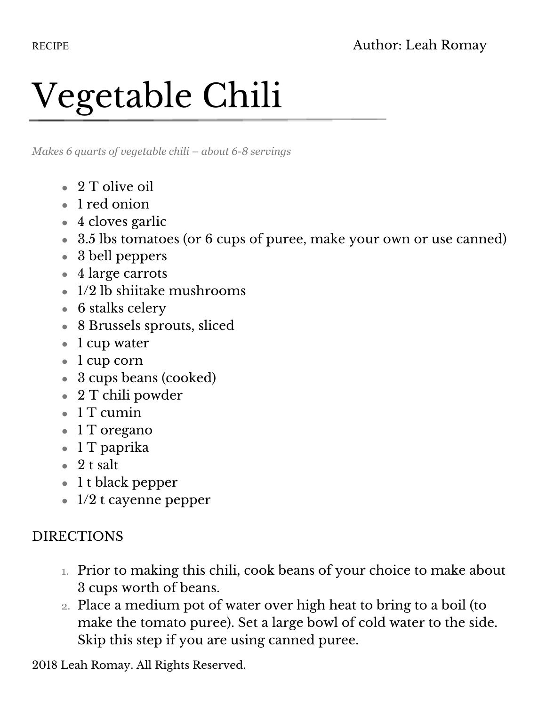## Vegetable Chili

*Makes 6 quarts of vegetable chili – about 6-8 servings* 

- $\bullet$  2 T olive oil
- 1 red onion
- $\bullet$  4 cloves garlic
- 3.5 lbs tomatoes (or 6 cups of puree, make your own or use canned)
- 3 bell peppers
- 4 large carrots
- $\bullet$  1/2 lb shiitake mushrooms
- $\bullet$  6 stalks celery
- 8 Brussels sprouts, sliced
- 1 cup water
- 1 cup corn
- 3 cups beans (cooked)
- 2 T chili powder
- $\bullet$  1 T cumin
- 1 T oregano
- 1 T paprika
- $\bullet$  2 t salt
- 1 t black pepper
- $\bullet$  1/2 t cayenne pepper

## DIRECTIONS

- 1. Prior to making this chili, cook beans of your choice to make about 3 cups worth of beans.
- 2. Place a medium pot of water over high heat to bring to a boil (to make the tomato puree). Set a large bowl of cold water to the side. Skip this step if you are using canned puree.

2018 Leah Romay. All Rights Reserved.